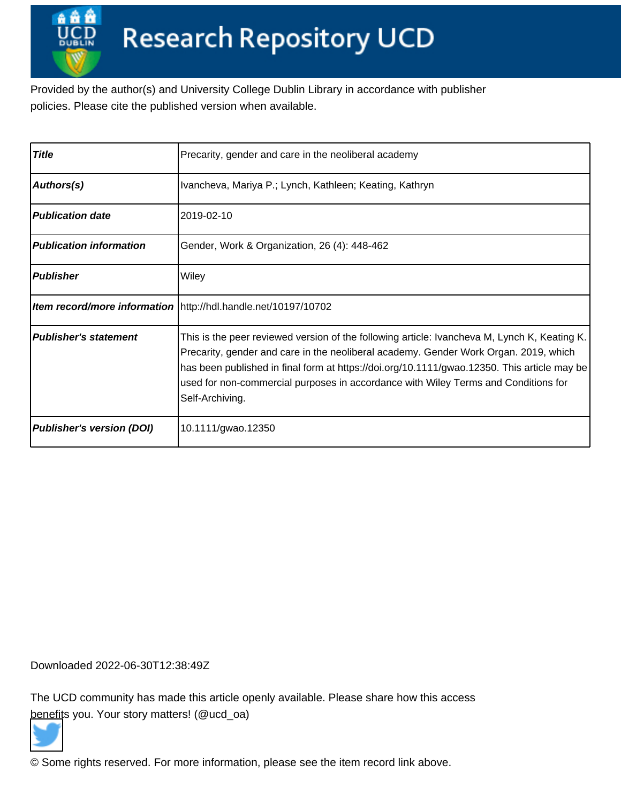Provided by the author(s) and University College Dublin Library in accordance with publisher policies. Please cite the published version when available.

| <b>Title</b>                     | Precarity, gender and care in the neoliberal academy                                                                                                                                                                                                                                                                                                                                         |
|----------------------------------|----------------------------------------------------------------------------------------------------------------------------------------------------------------------------------------------------------------------------------------------------------------------------------------------------------------------------------------------------------------------------------------------|
| Authors(s)                       | Ivancheva, Mariya P.; Lynch, Kathleen; Keating, Kathryn                                                                                                                                                                                                                                                                                                                                      |
| <b>Publication date</b>          | 2019-02-10                                                                                                                                                                                                                                                                                                                                                                                   |
| <b>Publication information</b>   | Gender, Work & Organization, 26 (4): 448-462                                                                                                                                                                                                                                                                                                                                                 |
| <b>Publisher</b>                 | Wiley                                                                                                                                                                                                                                                                                                                                                                                        |
|                                  | <b>Item record/more information</b> http://hdl.handle.net/10197/10702                                                                                                                                                                                                                                                                                                                        |
| <b>Publisher's statement</b>     | This is the peer reviewed version of the following article: Ivancheva M, Lynch K, Keating K.<br>Precarity, gender and care in the neoliberal academy. Gender Work Organ. 2019, which<br>has been published in final form at https://doi.org/10.1111/gwao.12350. This article may be<br>used for non-commercial purposes in accordance with Wiley Terms and Conditions for<br>Self-Archiving. |
| <b>Publisher's version (DOI)</b> | 10.1111/gwao.12350                                                                                                                                                                                                                                                                                                                                                                           |

Downloaded 2022-06-30T12:38:49Z

The UCD community has made this article openly available. Please share how this access [benefit](https://twitter.com/intent/tweet?via=ucd_oa&text=DOI%3A10.1111%2Fgwao.12350&url=http%3A%2F%2Fhdl.handle.net%2F10197%2F10702)s you. Your story matters! (@ucd\_oa)



© Some rights reserved. For more information, please see the item record link above.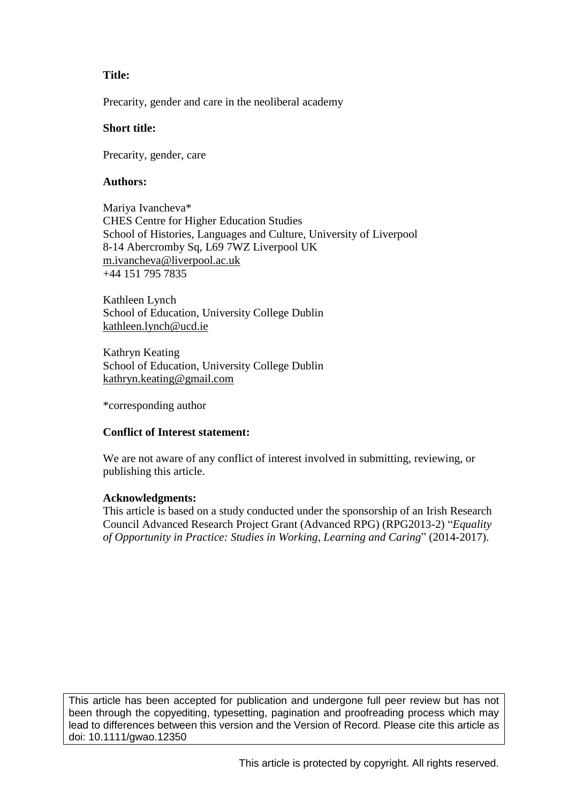# **Title:**

Precarity, gender and care in the neoliberal academy

#### **Short title:**

Precarity, gender, care

#### **Authors:**

Mariya Ivancheva\* CHES Centre for Higher Education Studies School of Histories, Languages and Culture, University of Liverpool 8-14 Abercromby Sq, L69 7WZ Liverpool UK [m.ivancheva@liverpool.ac.uk](mailto:m.ivancheva@liverpool.ac.uk) +44 151 795 7835

Kathleen Lynch School of Education, University College Dublin [kathleen.lynch@ucd.ie](mailto:kathleen.lynch@ucd.ie)

Kathryn Keating School of Education, University College Dublin [kathryn.keating@gmail.com](mailto:kathryn.keating@gmail.com)

\*corresponding author

#### **Conflict of Interest statement:**

We are not aware of any conflict of interest involved in submitting, reviewing, or publishing this article.

#### **Acknowledgments:**

This article is based on a study conducted under the sponsorship of an Irish Research Council Advanced Research Project Grant (Advanced RPG) (RPG2013-2) "*Equality of Opportunity in Practice: Studies in Working, Learning and Caring*" (2014-2017).

This article has been accepted for publication and undergone full peer review but has not been through the copyediting, typesetting, pagination and proofreading process which may lead to differences between this version and the Version of Record. Please cite this article as doi: 10.1111/gwao.12350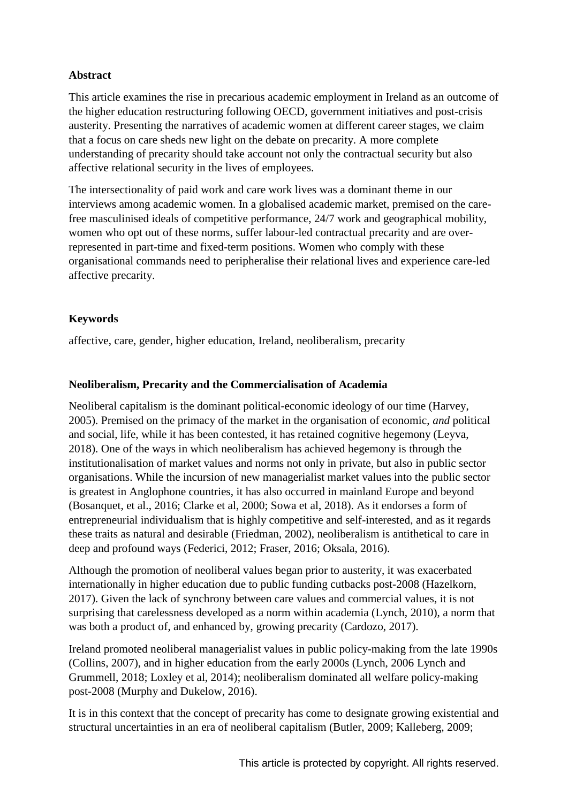# **Abstract**

This article examines the rise in precarious academic employment in Ireland as an outcome of the higher education restructuring following OECD, government initiatives and post-crisis austerity. Presenting the narratives of academic women at different career stages, we claim that a focus on care sheds new light on the debate on precarity. A more complete understanding of precarity should take account not only the contractual security but also affective relational security in the lives of employees.

The intersectionality of paid work and care work lives was a dominant theme in our interviews among academic women. In a globalised academic market, premised on the carefree masculinised ideals of competitive performance, 24/7 work and geographical mobility, women who opt out of these norms, suffer labour-led contractual precarity and are overrepresented in part-time and fixed-term positions. Women who comply with these organisational commands need to peripheralise their relational lives and experience care-led affective precarity.

# **Keywords**

affective, care, gender, higher education, Ireland, neoliberalism, precarity

# **Neoliberalism, Precarity and the Commercialisation of Academia**

Neoliberal capitalism is the dominant political-economic ideology of our time (Harvey, 2005). Premised on the primacy of the market in the organisation of economic, *and* political and social, life, while it has been contested, it has retained cognitive hegemony (Leyva, 2018). One of the ways in which neoliberalism has achieved hegemony is through the institutionalisation of market values and norms not only in private, but also in public sector organisations. While the incursion of new managerialist market values into the public sector is greatest in Anglophone countries, it has also occurred in mainland Europe and beyond (Bosanquet, et al., 2016; Clarke et al, 2000; Sowa et al, 2018). As it endorses a form of entrepreneurial individualism that is highly competitive and self-interested, and as it regards these traits as natural and desirable (Friedman, 2002), neoliberalism is antithetical to care in deep and profound ways (Federici, 2012; Fraser, 2016; Oksala, 2016).

Although the promotion of neoliberal values began prior to austerity, it was exacerbated internationally in higher education due to public funding cutbacks post-2008 (Hazelkorn, 2017). Given the lack of synchrony between care values and commercial values, it is not surprising that carelessness developed as a norm within academia (Lynch, 2010), a norm that was both a product of, and enhanced by, growing precarity (Cardozo, 2017).

Ireland promoted neoliberal managerialist values in public policy-making from the late 1990s (Collins, 2007), and in higher education from the early 2000s (Lynch, 2006 Lynch and Grummell, 2018; Loxley et al, 2014); neoliberalism dominated all welfare policy-making post-2008 (Murphy and Dukelow, 2016).

It is in this context that the concept of precarity has come to designate growing existential and structural uncertainties in an era of neoliberal capitalism (Butler, 2009; Kalleberg, 2009;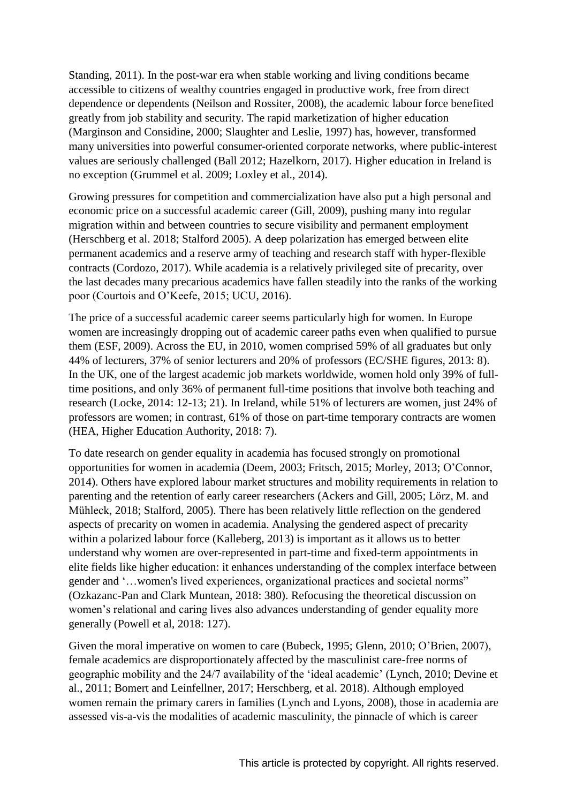Standing, 2011). In the post-war era when stable working and living conditions became accessible to citizens of wealthy countries engaged in productive work, free from direct dependence or dependents (Neilson and Rossiter, 2008), the academic labour force benefited greatly from job stability and security. The rapid marketization of higher education (Marginson and Considine, 2000; Slaughter and Leslie, 1997) has, however, transformed many universities into powerful consumer-oriented corporate networks, where public-interest values are seriously challenged (Ball 2012; Hazelkorn, 2017). Higher education in Ireland is no exception (Grummel et al. 2009; Loxley et al., 2014).

Growing pressures for competition and commercialization have also put a high personal and economic price on a successful academic career (Gill, 2009), pushing many into regular migration within and between countries to secure visibility and permanent employment (Herschberg et al. 2018; Stalford 2005). A deep polarization has emerged between elite permanent academics and a reserve army of teaching and research staff with hyper-flexible contracts (Cordozo, 2017). While academia is a relatively privileged site of precarity, over the last decades many precarious academics have fallen steadily into the ranks of the working poor (Courtois and O'Keefe, 2015; UCU, 2016).

The price of a successful academic career seems particularly high for women. In Europe women are increasingly dropping out of academic career paths even when qualified to pursue them (ESF, 2009). Across the EU, in 2010, women comprised 59% of all graduates but only 44% of lecturers, 37% of senior lecturers and 20% of professors (EC/SHE figures, 2013: 8). In the UK, one of the largest academic job markets worldwide, women hold only 39% of fulltime positions, and only 36% of permanent full-time positions that involve both teaching and research (Locke, 2014: 12-13; 21). In Ireland, while 51% of lecturers are women, just 24% of professors are women; in contrast, 61% of those on part-time temporary contracts are women (HEA, Higher Education Authority, 2018: 7).

To date research on gender equality in academia has focused strongly on promotional opportunities for women in academia (Deem, 2003; Fritsch, 2015; Morley, 2013; O'Connor, 2014). Others have explored labour market structures and mobility requirements in relation to parenting and the retention of early career researchers (Ackers and Gill, 2005; Lörz, M. and Mühleck, 2018; Stalford, 2005). There has been relatively little reflection on the gendered aspects of precarity on women in academia. Analysing the gendered aspect of precarity within a polarized labour force (Kalleberg, 2013) is important as it allows us to better understand why women are over-represented in part-time and fixed-term appointments in elite fields like higher education: it enhances understanding of the complex interface between gender and '... women's lived experiences, organizational practices and societal norms" (Ozkazanc-Pan and Clark Muntean, 2018: 380). Refocusing the theoretical discussion on women's relational and caring lives also advances understanding of gender equality more generally (Powell et al, 2018: 127).

Given the moral imperative on women to care (Bubeck, 1995; Glenn, 2010; O'Brien, 2007), female academics are disproportionately affected by the masculinist care-free norms of geographic mobility and the 24/7 availability of the 'ideal academic' (Lynch, 2010; Devine et al., 2011; Bomert and Leinfellner, 2017; Herschberg, et al. 2018). Although employed women remain the primary carers in families (Lynch and Lyons, 2008), those in academia are assessed vis-a-vis the modalities of academic masculinity, the pinnacle of which is career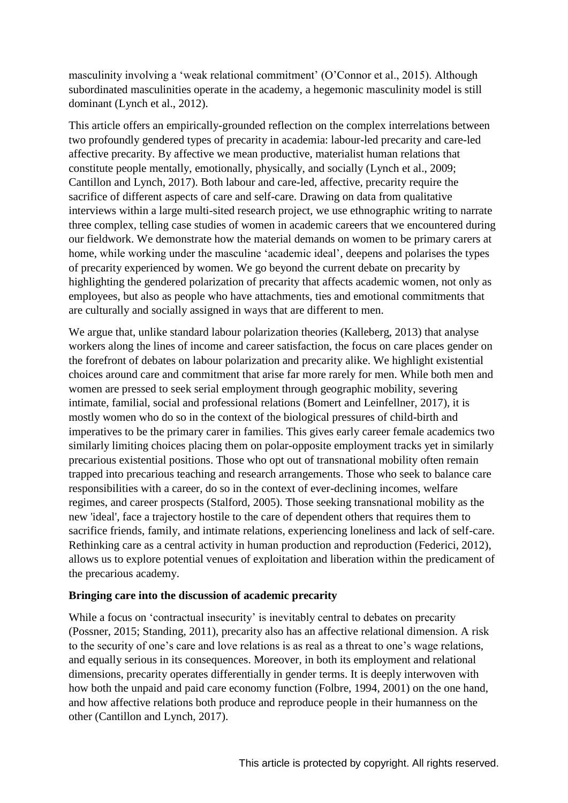masculinity involving a 'weak relational commitment' (O'Connor et al., 2015). Although subordinated masculinities operate in the academy, a hegemonic masculinity model is still dominant (Lynch et al., 2012).

This article offers an empirically-grounded reflection on the complex interrelations between two profoundly gendered types of precarity in academia: labour-led precarity and care-led affective precarity. By affective we mean productive, materialist human relations that constitute people mentally, emotionally, physically, and socially (Lynch et al., 2009; Cantillon and Lynch, 2017). Both labour and care-led, affective, precarity require the sacrifice of different aspects of care and self-care. Drawing on data from qualitative interviews within a large multi-sited research project, we use ethnographic writing to narrate three complex, telling case studies of women in academic careers that we encountered during our fieldwork. We demonstrate how the material demands on women to be primary carers at home, while working under the masculine 'academic ideal', deepens and polarises the types of precarity experienced by women. We go beyond the current debate on precarity by highlighting the gendered polarization of precarity that affects academic women, not only as employees, but also as people who have attachments, ties and emotional commitments that are culturally and socially assigned in ways that are different to men.

We argue that, unlike standard labour polarization theories (Kalleberg, 2013) that analyse workers along the lines of income and career satisfaction, the focus on care places gender on the forefront of debates on labour polarization and precarity alike. We highlight existential choices around care and commitment that arise far more rarely for men. While both men and women are pressed to seek serial employment through geographic mobility, severing intimate, familial, social and professional relations (Bomert and Leinfellner, 2017), it is mostly women who do so in the context of the biological pressures of child-birth and imperatives to be the primary carer in families. This gives early career female academics two similarly limiting choices placing them on polar-opposite employment tracks yet in similarly precarious existential positions. Those who opt out of transnational mobility often remain trapped into precarious teaching and research arrangements. Those who seek to balance care responsibilities with a career, do so in the context of ever-declining incomes, welfare regimes, and career prospects (Stalford, 2005). Those seeking transnational mobility as the new 'ideal', face a trajectory hostile to the care of dependent others that requires them to sacrifice friends, family, and intimate relations, experiencing loneliness and lack of self-care. Rethinking care as a central activity in human production and reproduction (Federici, 2012), allows us to explore potential venues of exploitation and liberation within the predicament of the precarious academy.

# **Bringing care into the discussion of academic precarity**

While a focus on 'contractual insecurity' is inevitably central to debates on precarity (Possner, 2015; Standing, 2011), precarity also has an affective relational dimension. A risk to the security of one's care and love relations is as real as a threat to one's wage relations, and equally serious in its consequences. Moreover, in both its employment and relational dimensions, precarity operates differentially in gender terms. It is deeply interwoven with how both the unpaid and paid care economy function (Folbre, 1994, 2001) on the one hand, and how affective relations both produce and reproduce people in their humanness on the other (Cantillon and Lynch, 2017).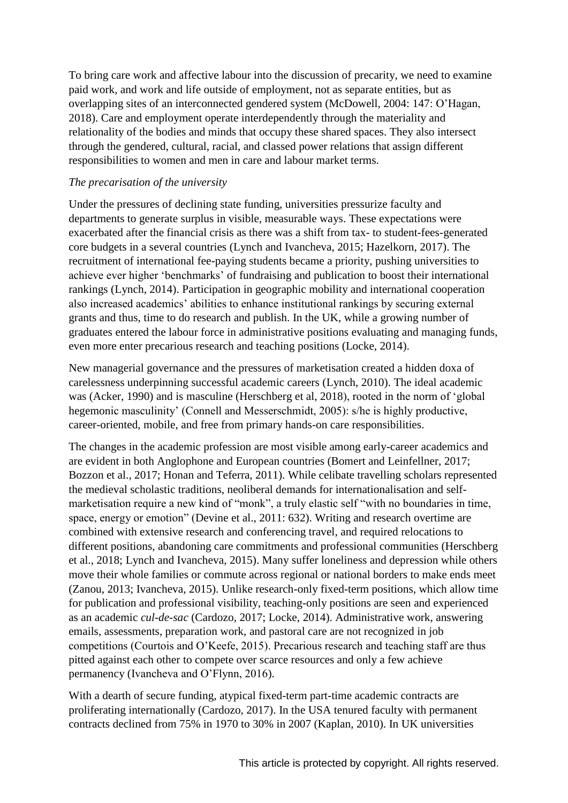To bring care work and affective labour into the discussion of precarity, we need to examine paid work, and work and life outside of employment, not as separate entities, but as overlapping sites of an interconnected gendered system (McDowell, 2004: 147: O'Hagan, 2018). Care and employment operate interdependently through the materiality and relationality of the bodies and minds that occupy these shared spaces. They also intersect through the gendered, cultural, racial, and classed power relations that assign different responsibilities to women and men in care and labour market terms.

# *The precarisation of the university*

Under the pressures of declining state funding, universities pressurize faculty and departments to generate surplus in visible, measurable ways. These expectations were exacerbated after the financial crisis as there was a shift from tax- to student-fees-generated core budgets in a several countries (Lynch and Ivancheva, 2015; Hazelkorn, 2017). The recruitment of international fee-paying students became a priority, pushing universities to achieve ever higher 'benchmarks' of fundraising and publication to boost their international rankings (Lynch, 2014). Participation in geographic mobility and international cooperation also increased academics' abilities to enhance institutional rankings by securing external grants and thus, time to do research and publish. In the UK, while a growing number of graduates entered the labour force in administrative positions evaluating and managing funds, even more enter precarious research and teaching positions (Locke, 2014).

New managerial governance and the pressures of marketisation created a hidden doxa of carelessness underpinning successful academic careers (Lynch, 2010). The ideal academic was (Acker, 1990) and is masculine (Herschberg et al, 2018), rooted in the norm of 'global hegemonic masculinity' (Connell and Messerschmidt, 2005): s/he is highly productive, career-oriented, mobile, and free from primary hands-on care responsibilities.

The changes in the academic profession are most visible among early-career academics and are evident in both Anglophone and European countries (Bomert and Leinfellner, 2017; Bozzon et al., 2017; Honan and Teferra, 2011). While celibate travelling scholars represented the medieval scholastic traditions, neoliberal demands for internationalisation and selfmarketisation require a new kind of "monk", a truly elastic self "with no boundaries in time, space, energy or emotion" (Devine et al., 2011: 632). Writing and research overtime are combined with extensive research and conferencing travel, and required relocations to different positions, abandoning care commitments and professional communities (Herschberg et al., 2018; Lynch and Ivancheva, 2015). Many suffer loneliness and depression while others move their whole families or commute across regional or national borders to make ends meet (Zanou, 2013; Ivancheva, 2015). Unlike research-only fixed-term positions, which allow time for publication and professional visibility, teaching-only positions are seen and experienced as an academic *cul-de-sac* (Cardozo, 2017; Locke, 2014). Administrative work, answering emails, assessments, preparation work, and pastoral care are not recognized in job competitions (Courtois and O'Keefe, 2015). Precarious research and teaching staff are thus pitted against each other to compete over scarce resources and only a few achieve permanency (Ivancheva and O'Flynn, 2016).

With a dearth of secure funding, atypical fixed-term part-time academic contracts are proliferating internationally (Cardozo, 2017). In the USA tenured faculty with permanent contracts declined from 75% in 1970 to 30% in 2007 (Kaplan, 2010). In UK universities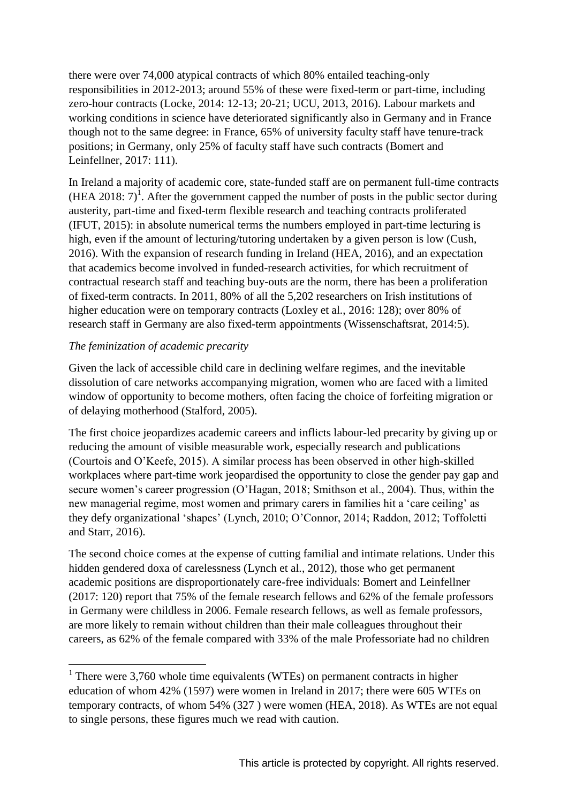there were over 74,000 atypical contracts of which 80% entailed teaching-only responsibilities in 2012-2013; around 55% of these were fixed-term or part-time, including zero-hour contracts (Locke, 2014: 12-13; 20-21; UCU, 2013, 2016). Labour markets and working conditions in science have deteriorated significantly also in Germany and in France though not to the same degree: in France, 65% of university faculty staff have tenure-track positions; in Germany, only 25% of faculty staff have such contracts (Bomert and Leinfellner, 2017: 111).

In Ireland a majority of academic core, state-funded staff are on permanent full-time contracts  $(HEA 2018: 7)<sup>1</sup>$ . After the government capped the number of posts in the public sector during austerity, part-time and fixed-term flexible research and teaching contracts proliferated (IFUT, 2015): in absolute numerical terms the numbers employed in part-time lecturing is high, even if the amount of lecturing/tutoring undertaken by a given person is low (Cush, 2016). With the expansion of research funding in Ireland (HEA, 2016), and an expectation that academics become involved in funded-research activities, for which recruitment of contractual research staff and teaching buy-outs are the norm, there has been a proliferation of fixed-term contracts. In 2011, 80% of all the 5,202 researchers on Irish institutions of higher education were on temporary contracts (Loxley et al., 2016: 128); over 80% of research staff in Germany are also fixed-term appointments (Wissenschaftsrat, 2014:5).

# *The feminization of academic precarity*

Given the lack of accessible child care in declining welfare regimes, and the inevitable dissolution of care networks accompanying migration, women who are faced with a limited window of opportunity to become mothers, often facing the choice of forfeiting migration or of delaying motherhood (Stalford, 2005).

The first choice jeopardizes academic careers and inflicts labour-led precarity by giving up or reducing the amount of visible measurable work, especially research and publications (Courtois and O'Keefe, 2015). A similar process has been observed in other high-skilled workplaces where part-time work jeopardised the opportunity to close the gender pay gap and secure women's career progression  $(O'Hagan, 2018; Smithson et al., 2004)$ . Thus, within the new managerial regime, most women and primary carers in families hit a 'care ceiling' as they defy organizational 'shapes' (Lynch, 2010; O'Connor, 2014; Raddon, 2012; Toffoletti and Starr, 2016).

The second choice comes at the expense of cutting familial and intimate relations. Under this hidden gendered doxa of carelessness (Lynch et al., 2012), those who get permanent academic positions are disproportionately care-free individuals: Bomert and Leinfellner (2017: 120) report that 75% of the female research fellows and 62% of the female professors in Germany were childless in 2006. Female research fellows, as well as female professors, are more likely to remain without children than their male colleagues throughout their careers, as 62% of the female compared with 33% of the male Professoriate had no children

<sup>&</sup>lt;sup>1</sup> There were 3,760 whole time equivalents (WTEs) on permanent contracts in higher education of whom 42% (1597) were women in Ireland in 2017; there were 605 WTEs on temporary contracts, of whom 54% (327 ) were women (HEA, 2018). As WTEs are not equal to single persons, these figures much we read with caution.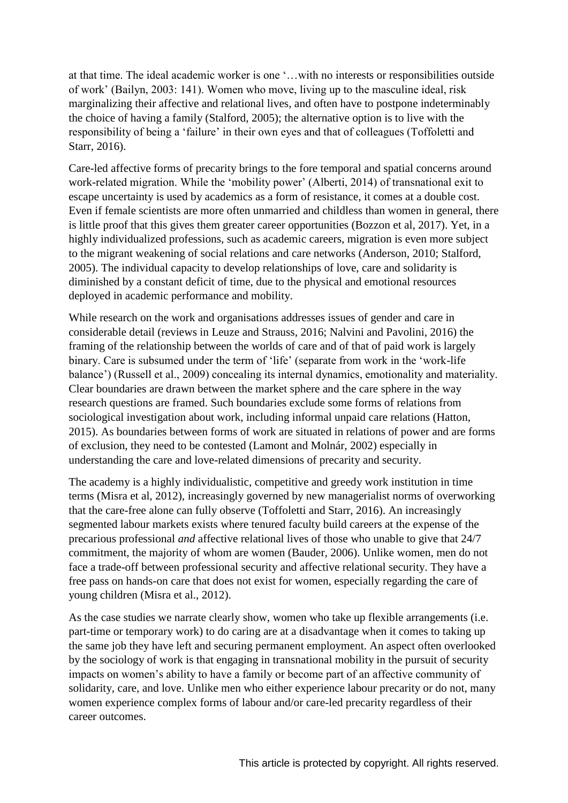at that time. The ideal academic worker is one '... with no interests or responsibilities outside of work' (Bailyn, 2003: 141). Women who move, living up to the masculine ideal, risk marginalizing their affective and relational lives, and often have to postpone indeterminably the choice of having a family (Stalford, 2005); the alternative option is to live with the responsibility of being a 'failure' in their own eyes and that of colleagues (Toffoletti and Starr, 2016).

Care-led affective forms of precarity brings to the fore temporal and spatial concerns around work-related migration. While the 'mobility power' (Alberti, 2014) of transnational exit to escape uncertainty is used by academics as a form of resistance, it comes at a double cost. Even if female scientists are more often unmarried and childless than women in general, there is little proof that this gives them greater career opportunities (Bozzon et al, 2017). Yet, in a highly individualized professions, such as academic careers, migration is even more subject to the migrant weakening of social relations and care networks (Anderson, 2010; Stalford, 2005). The individual capacity to develop relationships of love, care and solidarity is diminished by a constant deficit of time, due to the physical and emotional resources deployed in academic performance and mobility.

While research on the work and organisations addresses issues of gender and care in considerable detail (reviews in Leuze and Strauss, 2016; Nalvini and Pavolini, 2016) the framing of the relationship between the worlds of care and of that of paid work is largely binary. Care is subsumed under the term of 'life' (separate from work in the 'work-life' balance') (Russell et al., 2009) concealing its internal dynamics, emotionality and materiality. Clear boundaries are drawn between the market sphere and the care sphere in the way research questions are framed. Such boundaries exclude some forms of relations from sociological investigation about work, including informal unpaid care relations (Hatton, 2015). As boundaries between forms of work are situated in relations of power and are forms of exclusion, they need to be contested (Lamont and Molnár, 2002) especially in understanding the care and love-related dimensions of precarity and security.

The academy is a highly individualistic, competitive and greedy work institution in time terms (Misra et al, 2012), increasingly governed by new managerialist norms of overworking that the care-free alone can fully observe (Toffoletti and Starr, 2016). An increasingly segmented labour markets exists where tenured faculty build careers at the expense of the precarious professional *and* affective relational lives of those who unable to give that 24/7 commitment, the majority of whom are women (Bauder, 2006). Unlike women, men do not face a trade-off between professional security and affective relational security. They have a free pass on hands-on care that does not exist for women, especially regarding the care of young children (Misra et al., 2012).

As the case studies we narrate clearly show, women who take up flexible arrangements (i.e. part-time or temporary work) to do caring are at a disadvantage when it comes to taking up the same job they have left and securing permanent employment. An aspect often overlooked by the sociology of work is that engaging in transnational mobility in the pursuit of security impacts on women's ability to have a family or become part of an affective community of solidarity, care, and love. Unlike men who either experience labour precarity or do not, many women experience complex forms of labour and/or care-led precarity regardless of their career outcomes.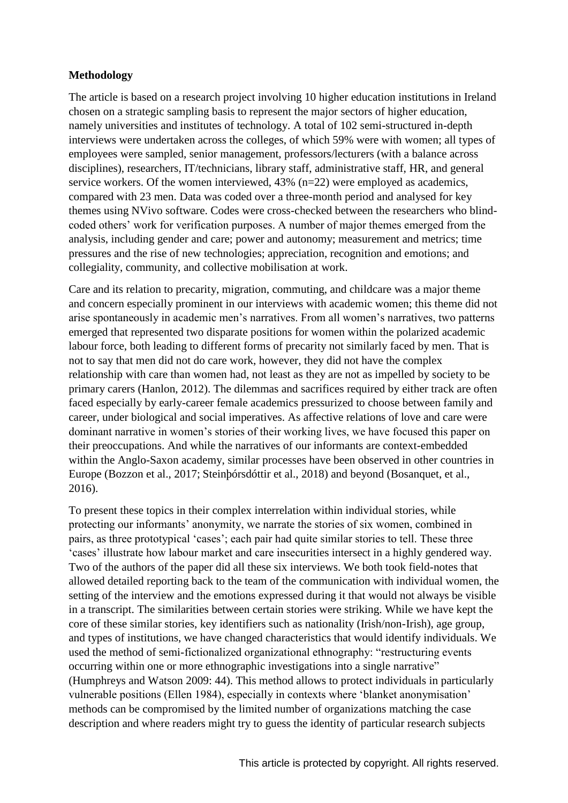# **Methodology**

The article is based on a research project involving 10 higher education institutions in Ireland chosen on a strategic sampling basis to represent the major sectors of higher education, namely universities and institutes of technology. A total of 102 semi-structured in-depth interviews were undertaken across the colleges, of which 59% were with women; all types of employees were sampled, senior management, professors/lecturers (with a balance across disciplines), researchers, IT/technicians, library staff, administrative staff, HR, and general service workers. Of the women interviewed, 43% (n=22) were employed as academics, compared with 23 men. Data was coded over a three-month period and analysed for key themes using NVivo software. Codes were cross-checked between the researchers who blind coded others' work for verification purposes. A number of major themes emerged from the analysis, including gender and care; power and autonomy; measurement and metrics; time pressures and the rise of new technologies; appreciation, recognition and emotions; and collegiality, community, and collective mobilisation at work.

Care and its relation to precarity, migration, commuting, and childcare was a major theme and concern especially prominent in our interviews with academic women; this theme did not arise spontaneously in a cademic men's narratives. From all women's narratives, two patterns emerged that represented two disparate positions for women within the polarized academic labour force, both leading to different forms of precarity not similarly faced by men. That is not to say that men did not do care work, however, they did not have the complex relationship with care than women had, not least as they are not as impelled by society to be primary carers (Hanlon, 2012). The dilemmas and sacrifices required by either track are often faced especially by early-career female academics pressurized to choose between family and career, under biological and social imperatives. As affective relations of love and care were dominant narrative in women's stories of their working lives, we have focused this paper on their preoccupations. And while the narratives of our informants are context-embedded within the Anglo-Saxon academy, similar processes have been observed in other countries in Europe (Bozzon et al., 2017; Steinþórsdóttir et al., 2018) and beyond (Bosanquet, et al., 2016).

To present these topics in their complex interrelation within individual stories, while protecting our informants' anonymity, we narrate the stories of six women, combined in pairs, as three prototypical 'cases'; each pair had quite similar stories to tell. These three ' cases' illustrate how labour market and care insecurities intersect in a highly gendered way. Two of the authors of the paper did all these six interviews. We both took field-notes that allowed detailed reporting back to the team of the communication with individual women, the setting of the interview and the emotions expressed during it that would not always be visible in a transcript. The similarities between certain stories were striking. While we have kept the core of these similar stories, key identifiers such as nationality (Irish/non-Irish), age group, and types of institutions, we have changed characteristics that would identify individuals. We used the method of semi-fictionalized organizational ethnography: "restructuring events occurring within one or more ethnographic investigations into a single narrative" (Humphreys and Watson 2009: 44). This method allows to protect individuals in particularly vulnerable positions (Ellen 1984), especially in contexts where 'blanket anonymisation' methods can be compromised by the limited number of organizations matching the case description and where readers might try to guess the identity of particular research subjects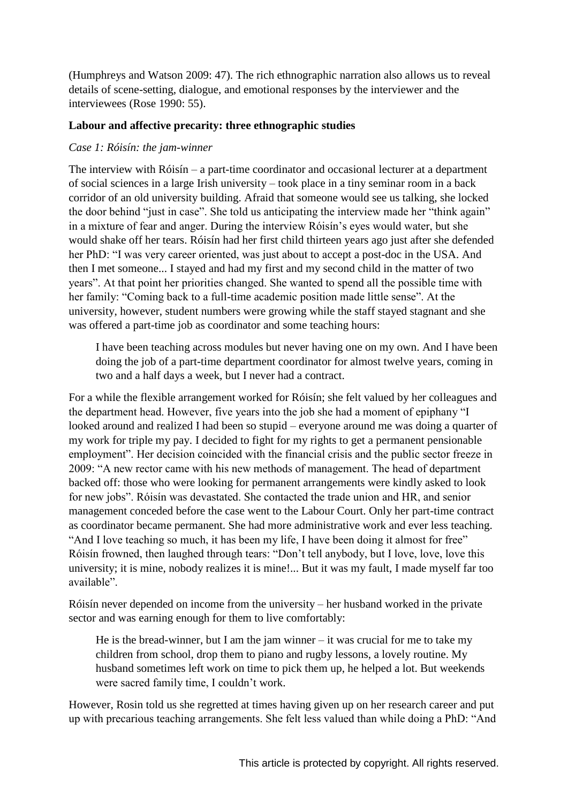(Humphreys and Watson 2009: 47). The rich ethnographic narration also allows us to reveal details of scene-setting, dialogue, and emotional responses by the interviewer and the interviewees (Rose 1990: 55).

# **Labour and affective precarity: three ethnographic studies**

# *Case 1: Róisín: the jam-winner*

The interview with Róisín – a part-time coordinator and occasional lecturer at a department of social sciences in a large Irish university – took place in a tiny seminar room in a back corridor of an old university building. Afraid that someone would see us talking, she locked the door behind "just in case". She told us anticipating the interview made her "think again" in a mixture of fear and anger. During the interview Róisín's eyes would water, but she would shake off her tears. Róisín had her first child thirteen years ago just after she defended her PhD: "I was very career oriented, was just about to accept a post-doc in the USA. And then I met someone... I stayed and had my first and my second child in the matter of two years". At that point her priorities changed. She wanted to spend all the possible time with her family: "Coming back to a full-time academic position made little sense". At the university, however, student numbers were growing while the staff stayed stagnant and she was offered a part-time job as coordinator and some teaching hours:

I have been teaching across modules but never having one on my own. And I have been doing the job of a part-time department coordinator for almost twelve years, coming in two and a half days a week, but I never had a contract.

For a while the flexible arrangement worked for Róisín; she felt valued by her colleagues and the department head. However, five years into the job she had a moment of epiphany "I looked around and realized I had been so stupid – everyone around me was doing a quarter of my work for triple my pay. I decided to fight for my rights to get a permanent pensionable employment". Her decision coincided with the financial crisis and the public sector freeze in 2009: "A new rector came with his new methods of management. The head of department backed off: those who were looking for permanent arrangements were kindly asked to look for new jobs". Róisín was devastated. She contacted the trade union and HR, and senior management conceded before the case went to the Labour Court. Only her part-time contract as coordinator became permanent. She had more administrative work and ever less teaching. "And I love teaching so much, it has been my life, I have been doing it almost for free" Róisín frowned, then laughed through tears: "Don't tell anybody, but I love, love, love this university; it is mine, nobody realizes it is mine!... But it was my fault, I made myself far too available"

Róisín never depended on income from the university – her husband worked in the private sector and was earning enough for them to live comfortably:

He is the bread-winner, but I am the jam winner  $-$  it was crucial for me to take my children from school, drop them to piano and rugby lessons, a lovely routine. My husband sometimes left work on time to pick them up, he helped a lot. But weekends were sacred family time, I couldn't work.

However, Rosin told us she regretted at times having given up on her research career and put up with precarious teaching arrangements. She felt less valued than while doing a PhD: "And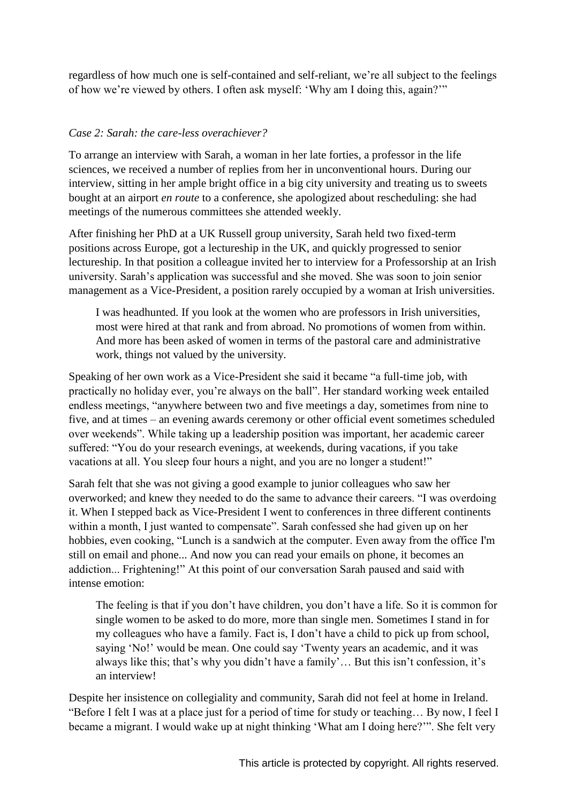regardless of how much one is self-contained and self-reliant, we're all subject to the feelings of how we're viewed by others. I often ask myself: 'Why am I doing this, again?'"

#### *Case 2: Sarah: the care-less overachiever?*

To arrange an interview with Sarah, a woman in her late forties, a professor in the life sciences, we received a number of replies from her in unconventional hours. During our interview, sitting in her ample bright office in a big city university and treating us to sweets bought at an airport *en route* to a conference, she apologized about rescheduling: she had meetings of the numerous committees she attended weekly.

After finishing her PhD at a UK Russell group university, Sarah held two fixed-term positions across Europe, got a lectureship in the UK, and quickly progressed to senior lectureship. In that position a colleague invited her to interview for a Professorship at an Irish university. Sarah's application was successful and she moved. She was soon to join senior management as a Vice-President, a position rarely occupied by a woman at Irish universities.

I was headhunted. If you look at the women who are professors in Irish universities, most were hired at that rank and from abroad. No promotions of women from within. And more has been asked of women in terms of the pastoral care and administrative work, things not valued by the university.

Speaking of her own work as a Vice-President she said it became "a full-time job, with practically no holiday ever, you're always on the ball". Her standard working week entailed endless meetings, "anywhere between two and five meetings a day, sometimes from nine to five, and at times – an evening awards ceremony or other official event sometimes scheduled over weekends". While taking up a leadership position was important, her academic career suffered: "You do your research evenings, at weekends, during vacations, if you take vacations at all. You sleep four hours a night, and you are no longer a student!"

Sarah felt that she was not giving a good example to junior colleagues who saw her overworked; and knew they needed to do the same to advance their careers. "I was overdoing it. When I stepped back as Vice-President I went to conferences in three different continents within a month, I just wanted to compensate". Sarah confessed she had given up on her hobbies, even cooking, "Lunch is a sandwich at the computer. Even away from the office I'm still on email and phone... And now you can read your emails on phone, it becomes an addiction... Frightening!" At this point of our conversation Sarah paused and said with intense emotion:

The feeling is that if you don't have children, you don't have a life. So it is common for single women to be asked to do more, more than single men. Sometimes I stand in for my colleagues who have a family. Fact is, I don't have a child to pick up from school, saying 'No!' would be mean. One could say 'Twenty years an academic, and it was always like this; that's why you didn't have a family'... But this isn't confession, it's an interview!

Despite her insistence on collegiality and community, Sarah did not feel at home in Ireland. "Before I felt I was at a place just for a period of time for study or teaching... By now, I feel I became a migrant. I would wake up at night thinking 'What am I doing here?'". She felt very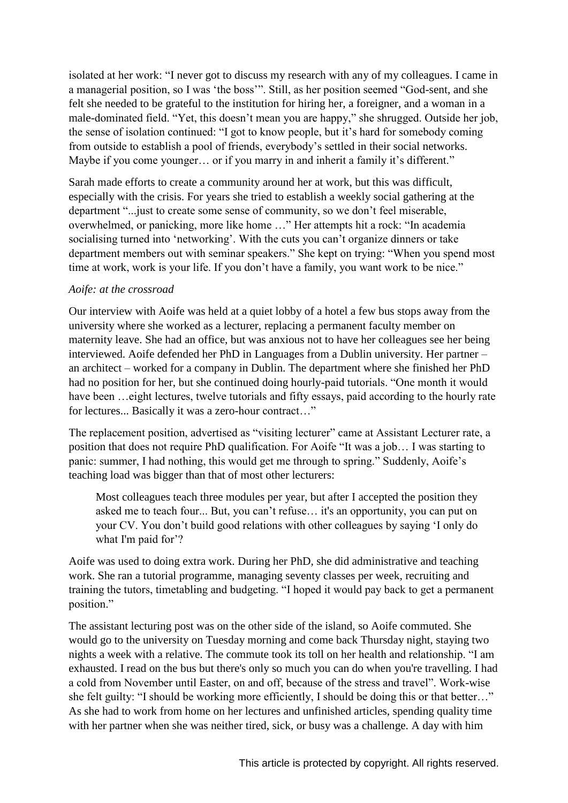isolated at her work: "I never got to discuss my research with any of my colleagues. I came in a managerial position, so I was 'the boss'". Still, as her position seemed "God-sent, and she felt she needed to be grateful to the institution for hiring her, a foreigner, and a woman in a male-dominated field. "Yet, this doesn't mean you are happy," she shrugged. Outside her job, the sense of isolation continued: "I got to know people, but it's hard for somebody coming from outside to establish a pool of friends, everybody's settled in their social networks. Maybe if you come younger... or if you marry in and inherit a family it's different."

Sarah made efforts to create a community around her at work, but this was difficult, especially with the crisis. For years she tried to establish a weekly social gathering at the department "... just to create some sense of community, so we don't feel miserable, overwhelmed, or panicking, more like home ..." Her attempts hit a rock: "In academia" socialising turned into 'networking'. With the cuts you can't organize dinners or take department members out with seminar speakers." She kept on trying: "When you spend most time at work, work is your life. If you don't have a family, you want work to be nice."

#### *Aoife: at the crossroad*

Our interview with Aoife was held at a quiet lobby of a hotel a few bus stops away from the university where she worked as a lecturer, replacing a permanent faculty member on maternity leave. She had an office, but was anxious not to have her colleagues see her being interviewed. Aoife defended her PhD in Languages from a Dublin university. Her partner – an architect – worked for a company in Dublin. The department where she finished her PhD had no position for her, but she continued doing hourly-paid tutorials. "One month it would have been ... eight lectures, twelve tutorials and fifty essays, paid according to the hourly rate for lectures... Basically it was a zero-hour contract..."

The replacement position, advertised as "visiting lecturer" came at Assistant Lecturer rate, a position that does not require PhD qualification. For Aoife "It was a job... I was starting to panic: summer, I had nothing, this would get me through to spring." Suddenly, Aoife's teaching load was bigger than that of most other lecturers:

Most colleagues teach three modules per year, but after I accepted the position they asked me to teach four... But, you can't refuse... it's an opportunity, you can put on your CV. You don't build good relations with other colleagues by saying 'I only do what I'm paid for'?

Aoife was used to doing extra work. During her PhD, she did administrative and teaching work. She ran a tutorial programme, managing seventy classes per week, recruiting and training the tutors, timetabling and budgeting. "I hoped it would pay back to get a permanent position."

The assistant lecturing post was on the other side of the island, so Aoife commuted. She would go to the university on Tuesday morning and come back Thursday night, staying two nights a week with a relative. The commute took its toll on her health and relationship. "I am exhausted. I read on the bus but there's only so much you can do when you're travelling. I had a cold from November until Easter, on and off, because of the stress and travel". Work-wise she felt guilty: "I should be working more efficiently, I should be doing this or that better..." As she had to work from home on her lectures and unfinished articles, spending quality time with her partner when she was neither tired, sick, or busy was a challenge. A day with him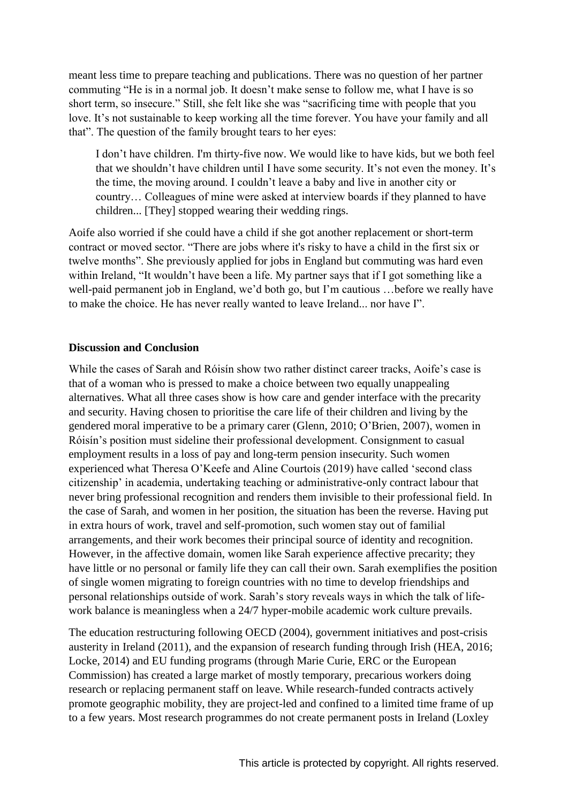meant less time to prepare teaching and publications. There was no question of her partner commuting "He is in a normal job. It doesn't make sense to follow me, what I have is so short term, so insecure." Still, she felt like she was "sacrificing time with people that you love. It's not sustainable to keep working all the time forever. You have your family and all that". The question of the family brought tears to her eyes:

I don't have children. I'm thirty-five now. We would like to have kids, but we both feel that we shouldn't have children until I have some security. It's not even the money. It's the time, the moving around. I couldn't leave a baby and live in another city or country... Colleagues of mine were asked at interview boards if they planned to have children... [They] stopped wearing their wedding rings.

Aoife also worried if she could have a child if she got another replacement or short-term contract or moved sector. "There are jobs where it's risky to have a child in the first six or twelve months". She previously applied for jobs in England but commuting was hard even within Ireland, "It wouldn't have been a life. My partner says that if I got something like a well-paid permanent job in England, we'd both go, but I'm cautious ... before we really have to make the choice. He has never really wanted to leave Ireland... nor have I".

#### **Discussion and Conclusion**

While the cases of Sarah and Róisín show two rather distinct career tracks, Aoife's case is that of a woman who is pressed to make a choice between two equally unappealing alternatives. What all three cases show is how care and gender interface with the precarity and security. Having chosen to prioritise the care life of their children and living by the gendered moral imperative to be a primary carer (Glenn, 2010; O'Brien, 2007), women in Róisín's position must sideline their professional development. Consignment to casual employment results in a loss of pay and long-term pension insecurity. Such women experienced what Theresa O'Keefe and Aline Courtois (2019) have called 'second class citizenship' in academia, undertaking teaching or administrative-only contract labour that never bring professional recognition and renders them invisible to their professional field. In the case of Sarah, and women in her position, the situation has been the reverse. Having put in extra hours of work, travel and self-promotion, such women stay out of familial arrangements, and their work becomes their principal source of identity and recognition. However, in the affective domain, women like Sarah experience affective precarity; they have little or no personal or family life they can call their own. Sarah exemplifies the position of single women migrating to foreign countries with no time to develop friendships and personal relationships outside of work. Sarah's story reveals ways in which the talk of lifework balance is meaningless when a 24/7 hyper-mobile academic work culture prevails.

The education restructuring following OECD (2004), government initiatives and post-crisis austerity in Ireland (2011), and the expansion of research funding through Irish (HEA, 2016; Locke, 2014) and EU funding programs (through Marie Curie, ERC or the European Commission) has created a large market of mostly temporary, precarious workers doing research or replacing permanent staff on leave. While research-funded contracts actively promote geographic mobility, they are project-led and confined to a limited time frame of up to a few years. Most research programmes do not create permanent posts in Ireland (Loxley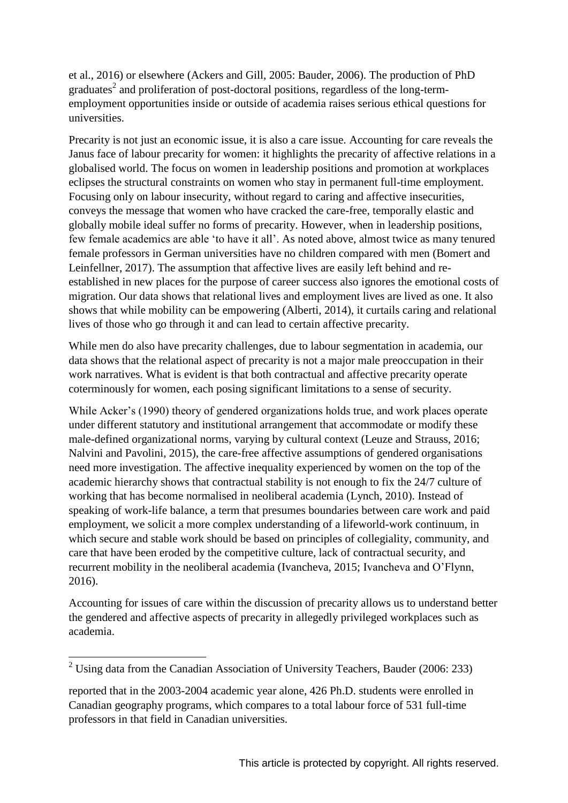et al., 2016) or elsewhere (Ackers and Gill, 2005: Bauder, 2006). The production of PhD graduates<sup>2</sup> and proliferation of post-doctoral positions, regardless of the long-termemployment opportunities inside or outside of academia raises serious ethical questions for universities.

Precarity is not just an economic issue, it is also a care issue. Accounting for care reveals the Janus face of labour precarity for women: it highlights the precarity of affective relations in a globalised world. The focus on women in leadership positions and promotion at workplaces eclipses the structural constraints on women who stay in permanent full-time employment. Focusing only on labour insecurity, without regard to caring and affective insecurities, conveys the message that women who have cracked the care-free, temporally elastic and globally mobile ideal suffer no forms of precarity. However, when in leadership positions, few female academics are able 'to have it all'. As noted above, almost twice as many tenured female professors in German universities have no children compared with men (Bomert and Leinfellner, 2017). The assumption that affective lives are easily left behind and reestablished in new places for the purpose of career success also ignores the emotional costs of migration. Our data shows that relational lives and employment lives are lived as one. It also shows that while mobility can be empowering (Alberti, 2014), it curtails caring and relational lives of those who go through it and can lead to certain affective precarity.

While men do also have precarity challenges, due to labour segmentation in academia, our data shows that the relational aspect of precarity is not a major male preoccupation in their work narratives. What is evident is that both contractual and affective precarity operate coterminously for women, each posing significant limitations to a sense of security.

While Acker's (1990) theory of gendered organizations holds true, and work places operate under different statutory and institutional arrangement that accommodate or modify these male-defined organizational norms, varying by cultural context (Leuze and Strauss, 2016; Nalvini and Pavolini, 2015), the care-free affective assumptions of gendered organisations need more investigation. The affective inequality experienced by women on the top of the academic hierarchy shows that contractual stability is not enough to fix the 24/7 culture of working that has become normalised in neoliberal academia (Lynch, 2010). Instead of speaking of work-life balance, a term that presumes boundaries between care work and paid employment, we solicit a more complex understanding of a lifeworld-work continuum, in which secure and stable work should be based on principles of collegiality, community, and care that have been eroded by the competitive culture, lack of contractual security, and recurrent mobility in the neoliberal academia (Ivancheva, 2015; Ivancheva and O'Flynn, 2016).

Accounting for issues of care within the discussion of precarity allows us to understand better the gendered and affective aspects of precarity in allegedly privileged workplaces such as academia.

<sup>&</sup>lt;sup>2</sup> Using data from the Canadian Association of University Teachers, Bauder (2006: 233)

reported that in the 2003-2004 academic year alone, 426 Ph.D. students were enrolled in Canadian geography programs, which compares to a total labour force of 531 full-time professors in that field in Canadian universities.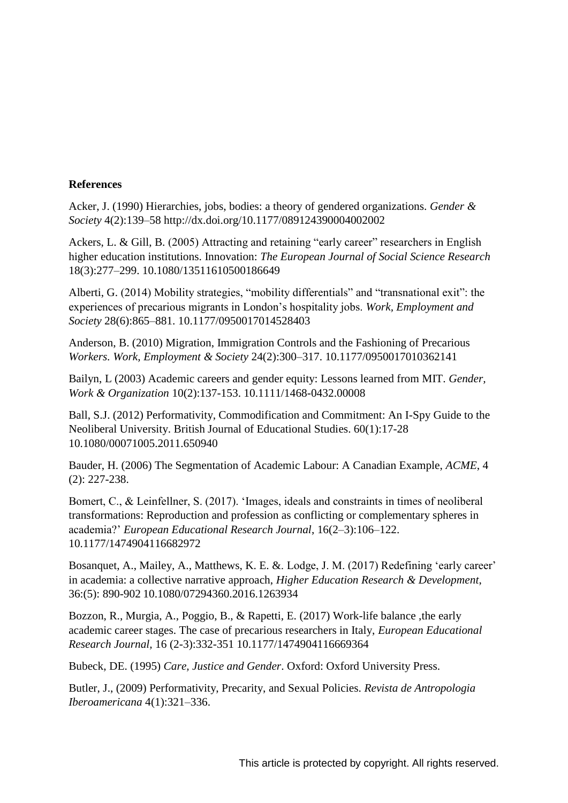#### **References**

Acker, J. (1990) Hierarchies, jobs, bodies: a theory of gendered organizations. *Gender & Society* 4(2):139–58 http://dx.doi.org/10.1177/089124390004002002

Ackers, L. & Gill, B. (2005) Attracting and retaining "early career" researchers in English higher education institutions. Innovation: *The European Journal of Social Science Research* 18(3):277–299. 10.1080/13511610500186649

Alberti, G.  $(2014)$  Mobility strategies, "mobility differentials" and "transnational exit": the experiences of precarious migrants in London's hospitality jobs. Work, Employment and *Society* 28(6):865–881. 10.1177/0950017014528403

Anderson, B. (2010) Migration, Immigration Controls and the Fashioning of Precarious *Workers. Work, Employment & Society* 24(2):300–317. 10.1177/0950017010362141

Bailyn, L (2003) Academic careers and gender equity: Lessons learned from MIT. *Gender, Work & Organization* 10(2):137-153. 10.1111/1468-0432.00008

Ball, S.J. (2012) Performativity, Commodification and Commitment: An I-Spy Guide to the Neoliberal University. British Journal of Educational Studies. 60(1):17-28 10.1080/00071005.2011.650940

Bauder, H. (2006) The Segmentation of Academic Labour: A Canadian Example, *ACME*, 4 (2): 227-238.

Bomert, C., & Leinfellner, S. (2017). 'Images, ideals and constraints in times of neoliberal transformations: Reproduction and profession as conflicting or complementary spheres in a ademia?' *European Educational Research Journal*, 16(2–3):106–122. 10.1177/1474904116682972

Bosanquet, A., Mailey, A., Matthews, K. E. & Lodge, J. M. (2017) Redefining 'early career' in academia: a collective narrative approach, *Higher Education Research & Development*, 36:(5): 890-902 10.1080/07294360.2016.1263934

Bozzon, R., Murgia, A., Poggio, B., & Rapetti, E. (2017) Work-life balance ,the early academic career stages. The case of precarious researchers in Italy, *European Educational Research Journal,* 16 (2-3):332-351 10.1177/1474904116669364

Bubeck, DE. (1995) *Care, Justice and Gender*. Oxford: Oxford University Press.

Butler, J., (2009) Performativity, Precarity, and Sexual Policies. *Revista de Antropologia Iberoamericana* 4(1):321–336.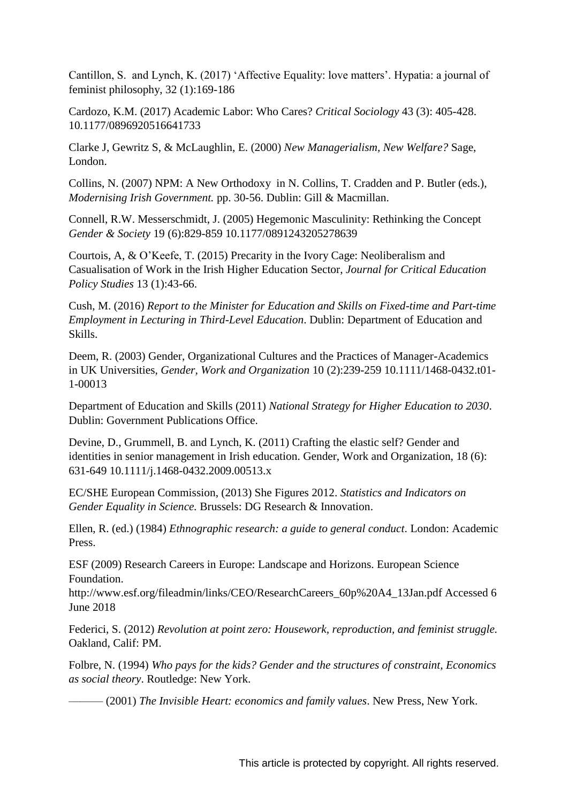Cantillon, S. and Lynch, K.  $(2017)$  'Affective Equality: love matters'. Hypatia: a journal of feminist philosophy, 32 (1):169-186

Cardozo, K.M. (2017) Academic Labor: Who Cares? *Critical Sociology* 43 (3): 405-428. 10.1177/0896920516641733

Clarke J, Gewritz S, & McLaughlin, E. (2000) *New Managerialism, New Welfare?* Sage, London.

Collins, N. (2007) NPM: A New Orthodoxy in N. Collins, T. Cradden and P. Butler (eds.), *Modernising Irish Government.* pp. 30-56. Dublin: Gill & Macmillan.

Connell, R.W. Messerschmidt, J. (2005) Hegemonic Masculinity: Rethinking the Concept *Gender & Society* 19 (6):829-859 10.1177/0891243205278639

Courtois, A, & O'Keefe, T. (2015) Precarity in the Ivory Cage: Neoliberalism and Casualisation of Work in the Irish Higher Education Sector, *Journal for Critical Education Policy Studies* 13 (1):43-66.

Cush, M. (2016) *Report to the Minister for Education and Skills on Fixed-time and Part-time Employment in Lecturing in Third-Level Education*. Dublin: Department of Education and Skills.

Deem, R. (2003) Gender, Organizational Cultures and the Practices of Manager-Academics in UK Universities, *Gender, Work and Organization* 10 (2):239-259 10.1111/1468-0432.t01- 1-00013

Department of Education and Skills (2011) *National Strategy for Higher Education to 2030*. Dublin: Government Publications Office.

Devine, D., Grummell, B. and Lynch, K. (2011) Crafting the elastic self? Gender and identities in senior management in Irish education. Gender, Work and Organization, 18 (6): 631-649 10.1111/j.1468-0432.2009.00513.x

EC/SHE European Commission, (2013) She Figures 2012. *Statistics and Indicators on Gender Equality in Science.* Brussels: DG Research & Innovation.

Ellen, R. (ed.) (1984) *Ethnographic research: a guide to general conduct*. London: Academic Press.

ESF (2009) Research Careers in Europe: Landscape and Horizons. European Science Foundation.

http://www.esf.org/fileadmin/links/CEO/ResearchCareers\_60p%20A4\_13Jan.pdf Accessed 6 June 2018

Federici, S. (2012) *Revolution at point zero: Housework, reproduction, and feminist struggle.* Oakland, Calif: PM.

Folbre, N. (1994) *Who pays for the kids? Gender and the structures of constraint, Economics as social theory*. Routledge: New York.

——— (2001) *The Invisible Heart: economics and family values*. New Press, New York.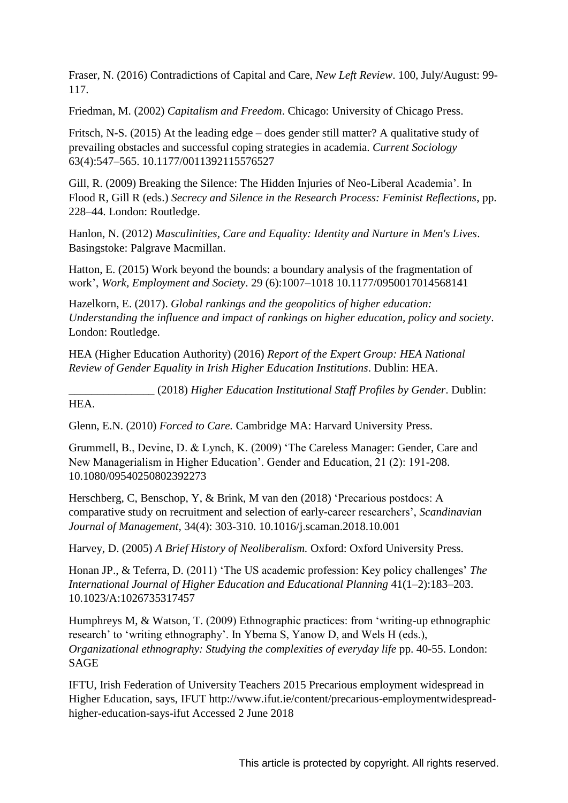Fraser, N. (2016) Contradictions of Capital and Care, *New Left Review*. 100, July/August: 99- 117.

Friedman, M. (2002) *Capitalism and Freedom*. Chicago: University of Chicago Press.

Fritsch, N-S. (2015) At the leading edge – does gender still matter? A qualitative study of prevailing obstacles and successful coping strategies in academia. *Current Sociology* 63(4):547–565. 10.1177/0011392115576527

Gill, R. (2009) Breaking the Silence: The Hidden Injuries of Neo-Liberal Academia'. In Flood R, Gill R (eds.) *Secrecy and Silence in the Research Process: Feminist Reflections*, pp. 228–44. London: Routledge.

Hanlon, N. (2012) *Masculinities, Care and Equality: Identity and Nurture in Men's Lives*. Basingstoke: Palgrave Macmillan.

Hatton, E. (2015) Work beyond the bounds: a boundary analysis of the fragmentation of work', *Work, Employment and Society*. 29 (6):1007-1018 10.1177/0950017014568141

Hazelkorn, E. (2017). *Global rankings and the geopolitics of higher education: Understanding the influence and impact of rankings on higher education, policy and society*. London: Routledge.

HEA (Higher Education Authority) (2016) *Report of the Expert Group: HEA National Review of Gender Equality in Irish Higher Education Institutions*. Dublin: HEA.

\_\_\_\_\_\_\_\_\_\_\_\_\_\_\_ (2018) *Higher Education Institutional Staff Profiles by Gender*. Dublin: HEA.

Glenn, E.N. (2010) *Forced to Care.* Cambridge MA: Harvard University Press.

Grummell, B., Devine, D. & Lynch, K. (2009) 'The Careless Manager: Gender, Care and New Managerialism in Higher Education'. Gender and Education, 21 (2): 191-208. 10.1080/09540250802392273

Herschberg, C, Benschop, Y, & Brink, M van den (2018) 'Precarious postdocs: A comparative study on recruitment and selection of early-career researchers', *Scandinavian Journal of Management*, 34(4): 303-310. 10.1016/j.scaman.2018.10.001

Harvey, D. (2005) *A Brief History of Neoliberalism.* Oxford: Oxford University Press.

Honan JP., & Teferra, D. (2011) 'The US academic profession: Key policy challenges' The *International Journal of Higher Education and Educational Planning* 41(1–2):183–203. 10.1023/A:1026735317457

Humphreys M, & Watson, T. (2009) Ethnographic practices: from 'writing-up ethnographic research' to 'writing ethnography'. In Ybema S, Yanow D, and Wels H (eds.), *Organizational ethnography: Studying the complexities of everyday life* pp. 40-55. London: SAGE

IFTU, Irish Federation of University Teachers 2015 Precarious employment widespread in Higher Education, says, IFUT http://www.ifut.ie/content/precarious-employmentwidespreadhigher-education-says-ifut Accessed 2 June 2018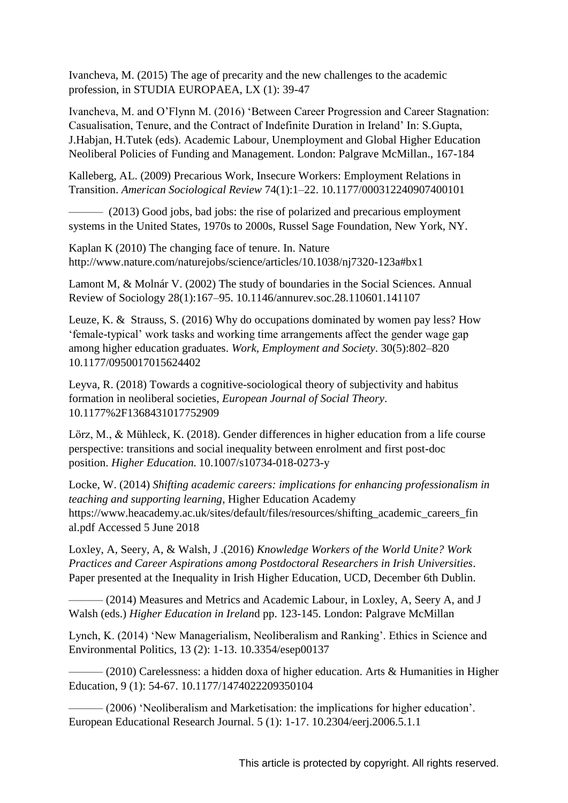Ivancheva, M. (2015) The age of precarity and the new challenges to the academic profession, in STUDIA EUROPAEA, LX (1): 39-47

Ivan cheva, M. and O'Flynn M. (2016) 'Between Career Progression and Career Stagnation: Casualisation, Tenure, and the Contract of Indefinite Duration in Ireland' In: S. Gupta, J.Habjan, H.Tutek (eds). Academic Labour, Unemployment and Global Higher Education Neoliberal Policies of Funding and Management. London: Palgrave McMillan., 167-184

Kalleberg, AL. (2009) Precarious Work, Insecure Workers: Employment Relations in Transition. *American Sociological Review* 74(1):1–22. 10.1177/000312240907400101

——— (2013) Good jobs, bad jobs: the rise of polarized and precarious employment systems in the United States, 1970s to 2000s, Russel Sage Foundation, New York, NY.

Kaplan K (2010) The changing face of tenure. In. Nature http://www.nature.com/naturejobs/science/articles/10.1038/nj7320-123a#bx1

Lamont M, & Molnár V. (2002) The study of boundaries in the Social Sciences. Annual Review of Sociology 28(1):167–95. 10.1146/annurev.soc.28.110601.141107

Leuze, K. & Strauss, S. (2016) Why do occupations dominated by women pay less? How 'female-typical' work tasks and working time arrangements affect the gender wage gap among higher education graduates. *Work, Employment and Society*. 30(5):802–820 10.1177/0950017015624402

Leyva, R. (2018) Towards a cognitive-sociological theory of subjectivity and habitus formation in neoliberal societies, *European Journal of Social Theory*. 10.1177%2F1368431017752909

Lörz, M., & Mühleck, K. (2018). Gender differences in higher education from a life course perspective: transitions and social inequality between enrolment and first post-doc position. *Higher Education.* 10.1007/s10734-018-0273-y

Locke, W. (2014) *Shifting academic careers: implications for enhancing professionalism in teaching and supporting learning*, Higher Education Academy https://www.heacademy.ac.uk/sites/default/files/resources/shifting\_academic\_careers\_fin al.pdf Accessed 5 June 2018

Loxley, A, Seery, A, & Walsh, J .(2016) *Knowledge Workers of the World Unite? Work Practices and Career Aspirations among Postdoctoral Researchers in Irish Universities*. Paper presented at the Inequality in Irish Higher Education, UCD, December 6th Dublin.

——— (2014) Measures and Metrics and Academic Labour, in Loxley, A, Seery A, and J Walsh (eds.) *Higher Education in Irelan*d pp. 123-145. London: Palgrave McMillan

Lynch, K. (2014) 'New Managerialism, Neoliberalism and Ranking'. Ethics in Science and Environmental Politics, 13 (2): 1-13. 10.3354/esep00137

 $-(2010)$  Carelessness: a hidden doxa of higher education. Arts & Humanities in Higher Education, 9 (1): 54-67. 10.1177/1474022209350104

—— (2006) 'Neoliberalism and Marketisation: the implications for higher education'. European Educational Research Journal. 5 (1): 1-17. 10.2304/eerj.2006.5.1.1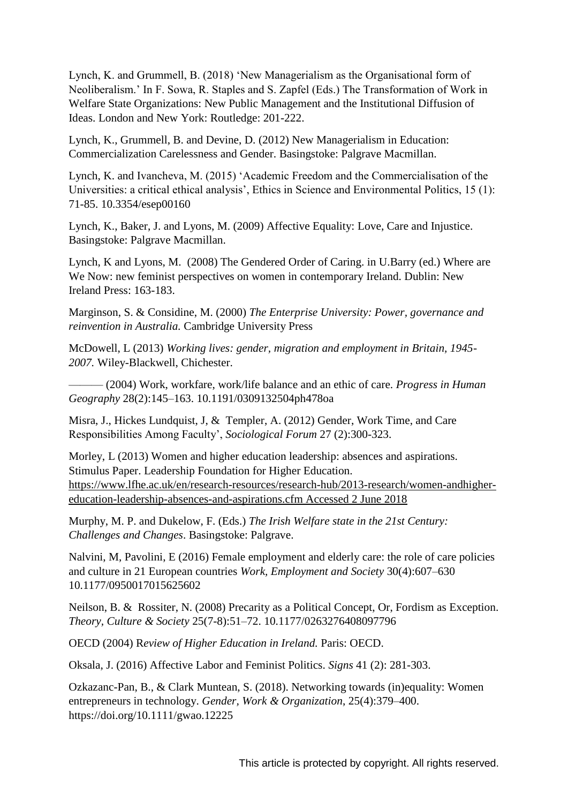Lynch, K. and Grummell, B. (2018) 'New Managerialism as the Organisational form of Neoliberalism.' In F. Sowa, R. Staples and S. Zapfel (Eds.) The Transformation of Work in Welfare State Organizations: New Public Management and the Institutional Diffusion of Ideas. London and New York: Routledge: 201-222.

Lynch, K., Grummell, B. and Devine, D. (2012) New Managerialism in Education: Commercialization Carelessness and Gender. Basingstoke: Palgrave Macmillan.

Lynch, K. and Ivancheva, M. (2015) 'Academic Freedom and the Commercialisation of the Universities: a critical ethical analysis', Ethics in Science and Environmental Politics, 15 (1): 71-85. 10.3354/esep00160

Lynch, K., Baker, J. and Lyons, M. (2009) Affective Equality: Love, Care and Injustice. Basingstoke: Palgrave Macmillan.

Lynch, K and Lyons, M. (2008) The Gendered Order of Caring. in U.Barry (ed.) Where are We Now: new feminist perspectives on women in contemporary Ireland. Dublin: New Ireland Press: 163-183.

Marginson, S. & Considine, M. (2000) *The Enterprise University: Power, governance and reinvention in Australia.* Cambridge University Press

McDowell, L (2013) *Working lives: gender, migration and employment in Britain, 1945- 2007.* Wiley-Blackwell, Chichester.

——— (2004) Work, workfare, work/life balance and an ethic of care. *Progress in Human Geography* 28(2):145–163. 10.1191/0309132504ph478oa

Misra, J., Hickes Lundquist, J, & Templer, A. (2012) Gender, Work Time, and Care Responsibilities Among Faculty', *Sociological Forum* 27 (2):300-323.

Morley, L (2013) Women and higher education leadership: absences and aspirations. Stimulus Paper. Leadership Foundation for Higher Education. [https://www.lfhe.ac.uk/en/research-resources/research-hub/2013-research/women-andhigher](https://www.lfhe.ac.uk/en/research-resources/research-hub/2013-research/women-andhigher-education-leadership-absences-and-aspirations.cfm%20Accessed%202%20June%202018)[education-leadership-absences-and-aspirations.cfm Accessed 2 June 2018](https://www.lfhe.ac.uk/en/research-resources/research-hub/2013-research/women-andhigher-education-leadership-absences-and-aspirations.cfm%20Accessed%202%20June%202018) 

Murphy, M. P. and Dukelow, F. (Eds.) *The Irish Welfare state in the 21st Century: Challenges and Changes*. Basingstoke: Palgrave.

Nalvini, M, Pavolini, E (2016) Female employment and elderly care: the role of care policies and culture in 21 European countries *Work, Employment and Society* 30(4):607–630 10.1177/0950017015625602

Neilson, B. & Rossiter, N. (2008) Precarity as a Political Concept, Or, Fordism as Exception. *Theory, Culture & Society* 25(7-8):51–72. 10.1177/0263276408097796

OECD (2004) R*eview of Higher Education in Ireland.* Paris: OECD.

Oksala, J. (2016) Affective Labor and Feminist Politics. *Signs* 41 (2): 281-303.

Ozkazanc-Pan, B., & Clark Muntean, S. (2018). Networking towards (in)equality: Women entrepreneurs in technology. *Gender, Work & Organization*, 25(4):379–400. https://doi.org/10.1111/gwao.12225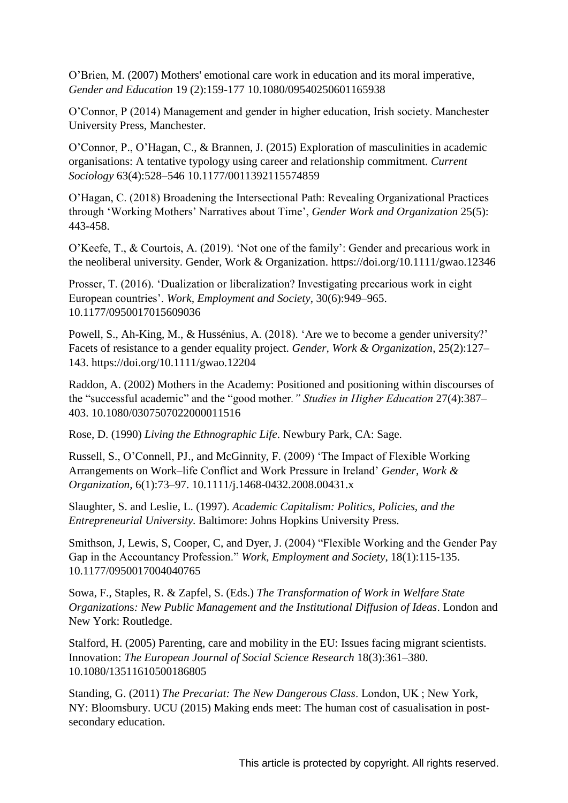O'Brien, M. (2007) Mothers' emotional care work in education and its moral imperative, *Gender and Education* 19 (2):159-177 10.1080/09540250601165938

 $O'$ Connor, P (2014) Management and gender in higher education, Irish society. Manchester University Press, Manchester.

O'Connor, P., O'Hagan, C., & Brannen, J. (2015) Exploration of masculinities in academic organisations: A tentative typology using career and relationship commitment. *Current Sociology* 63(4):528–546 10.1177/0011392115574859

O'Hagan, C. (2018) Broadening the Intersectional Path: Revealing Organizational Practices through 'Working Mothers' Narratives about Time', *Gender Work and Organization* 25(5): 443-458.

O'Keefe, T., & Courtois, A. (2019). 'Not one of the family': Gender and precarious work in the neoliberal university. Gender, Work & Organization. https://doi.org/10.1111/gwao.12346

Prosser, T. (2016). 'Dualization or liberalization? Investigating precarious work in eight European ountries' *Work, Employment and Society*, 30(6):949–965. 10.1177/0950017015609036

Powell, S., Ah-King, M., & Hussénius, A. (2018). 'Are we to become a gender university?' Facets of resistance to a gender equality project. *Gender, Work & Organization*, 25(2):127– 143. https://doi.org/10.1111/gwao.12204

Raddon, A. (2002) Mothers in the Academy: Positioned and positioning within discourses of the "successful academic" and the "good mother." Studies in Higher Education 27(4):387– 403. 10.1080/0307507022000011516

Rose, D. (1990) *Living the Ethnographic Life*. Newbury Park, CA: Sage.

Russell, S., O'Connell, PJ., and McGinnity, F. (2009) 'The Impact of Flexible Working Arrangements on Work–life Conflict and Work Pressure in Ireland' *Gender, Work & Organization,* 6(1):73–97. 10.1111/j.1468-0432.2008.00431.x

Slaughter, S. and Leslie, L. (1997). *Academic Capitalism: Politics, Policies, and the Entrepreneurial University.* Baltimore: Johns Hopkins University Press.

Smithson, J, Lewis, S, Cooper, C, and Dyer, J. (2004) "Flexible Working and the Gender Pay Gap in the Accountancy Profession." Work, Employment and Society, 18(1):115-135. 10.1177/0950017004040765

Sowa, F., Staples, R. & Zapfel, S. (Eds.) *The Transformation of Work in Welfare State Organization*s*: New Public Management and the Institutional Diffusion of Ideas*. London and New York: Routledge.

Stalford, H. (2005) Parenting, care and mobility in the EU: Issues facing migrant scientists. Innovation: *The European Journal of Social Science Research* 18(3):361–380. 10.1080/13511610500186805

Standing, G. (2011) *The Precariat: The New Dangerous Class*. London, UK; New York, NY: Bloomsbury. UCU (2015) Making ends meet: The human cost of casualisation in postsecondary education.